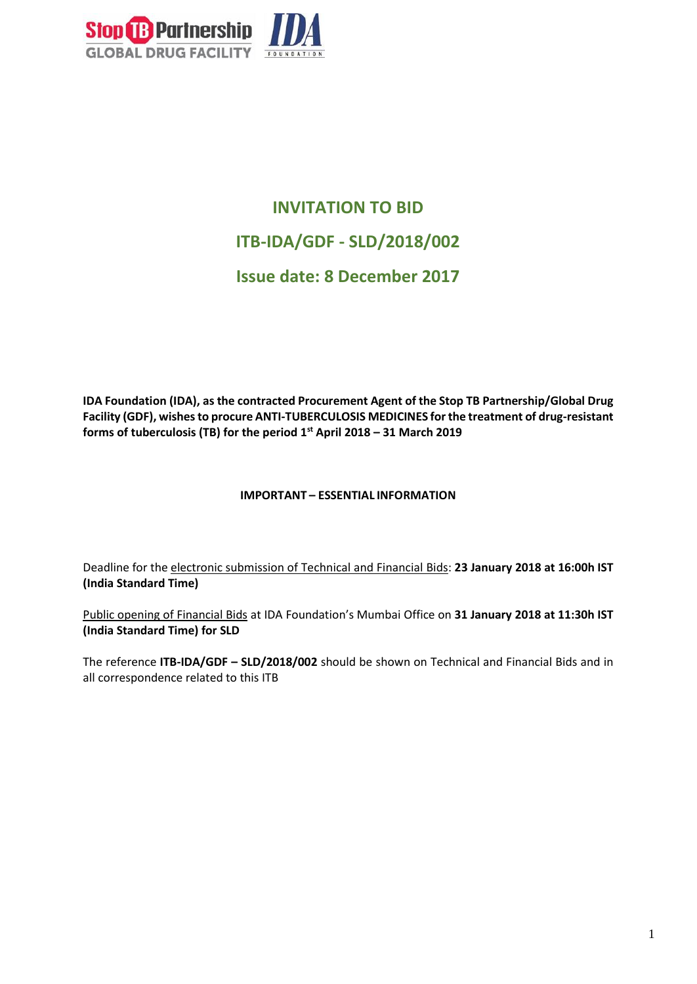

# **INVITATION TO BID ITB-IDA/GDF - SLD/2018/002 Issue date: 8 December 2017**

**IDA Foundation (IDA), as the contracted Procurement Agent of the Stop TB Partnership/Global Drug Facility (GDF), wishesto procure ANTI-TUBERCULOSIS MEDICINES for the treatment of drug-resistant forms of tuberculosis (TB) for the period 1st April 2018 – 31 March 2019**

#### **IMPORTANT – ESSENTIAL INFORMATION**

Deadline for the electronic submission of Technical and Financial Bids: **23 January 2018 at 16:00h IST (India Standard Time)** 

Public opening of Financial Bids at IDA Foundation's Mumbai Office on **31 January 2018 at 11:30h IST (India Standard Time) for SLD**

The reference **ITB-IDA/GDF – SLD/2018/002** should be shown on Technical and Financial Bids and in all correspondence related to this ITB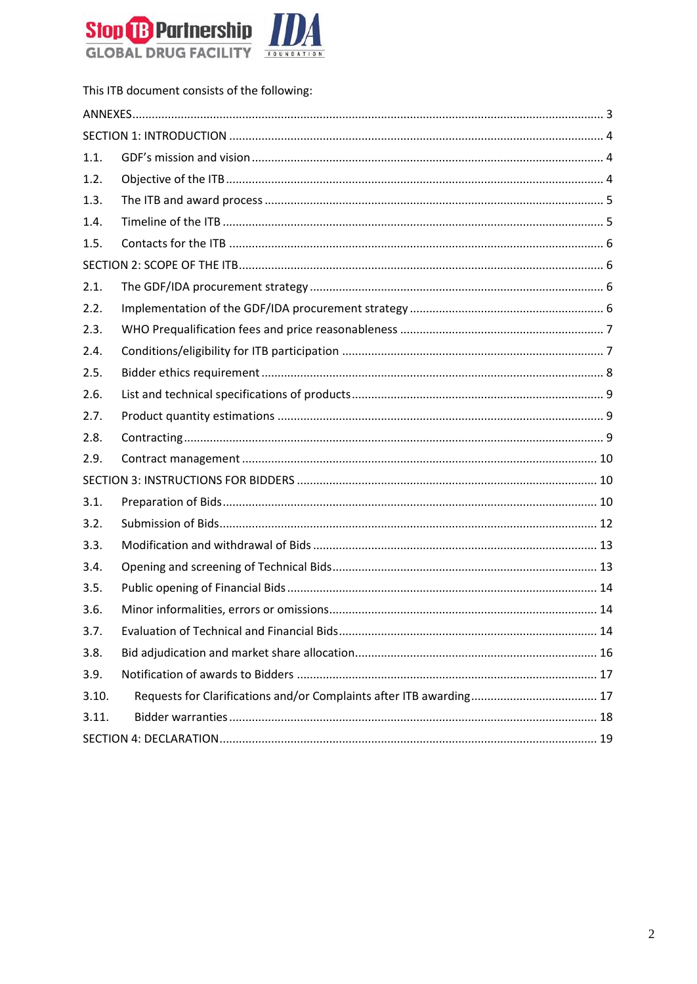

|       | This ITB document consists of the following: |  |  |
|-------|----------------------------------------------|--|--|
|       |                                              |  |  |
|       |                                              |  |  |
| 1.1.  |                                              |  |  |
| 1.2.  |                                              |  |  |
| 1.3.  |                                              |  |  |
| 1.4.  |                                              |  |  |
| 1.5.  |                                              |  |  |
|       |                                              |  |  |
| 2.1.  |                                              |  |  |
| 2.2.  |                                              |  |  |
| 2.3.  |                                              |  |  |
| 2.4.  |                                              |  |  |
| 2.5.  |                                              |  |  |
| 2.6.  |                                              |  |  |
| 2.7.  |                                              |  |  |
| 2.8.  |                                              |  |  |
| 2.9.  |                                              |  |  |
|       |                                              |  |  |
| 3.1.  |                                              |  |  |
| 3.2.  |                                              |  |  |
| 3.3.  |                                              |  |  |
| 3.4.  |                                              |  |  |
| 3.5.  |                                              |  |  |
| 3.6.  |                                              |  |  |
| 3.7.  |                                              |  |  |
| 3.8.  |                                              |  |  |
| 3.9.  |                                              |  |  |
| 3.10. |                                              |  |  |
| 3.11. |                                              |  |  |
|       |                                              |  |  |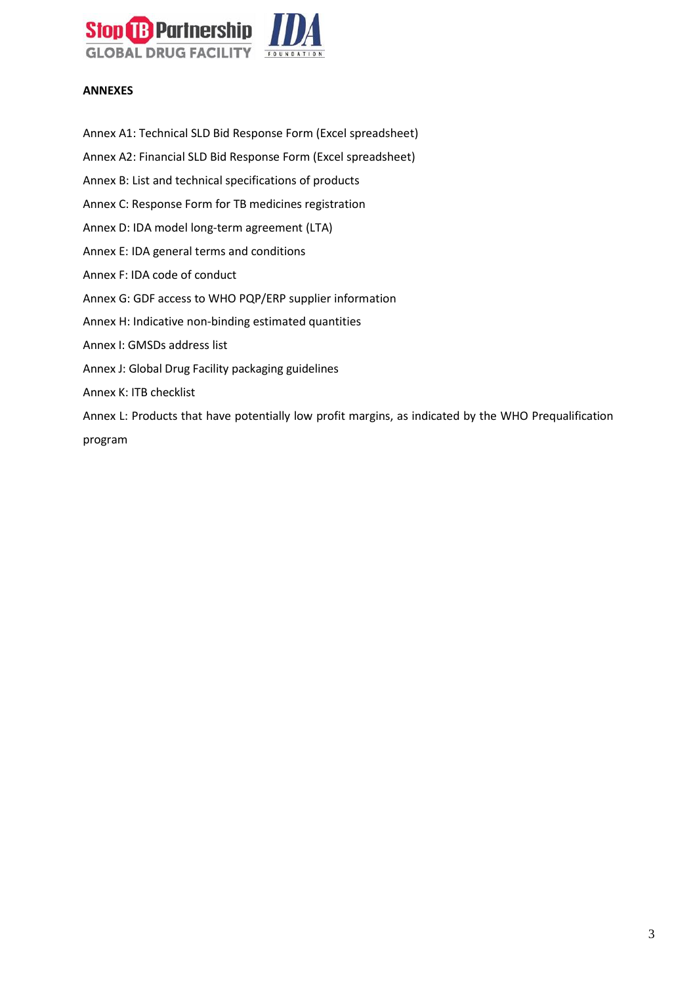

#### <span id="page-2-0"></span>**ANNEXES**

Annex A1: Technical SLD Bid Response Form (Excel spreadsheet)

- Annex A2: Financial SLD Bid Response Form (Excel spreadsheet)
- Annex B: List and technical specifications of products
- Annex C: Response Form for TB medicines registration
- Annex D: IDA model long-term agreement (LTA)
- Annex E: IDA general terms and conditions
- Annex F: IDA code of conduct
- Annex G: GDF access to WHO PQP/ERP supplier information
- Annex H: Indicative non-binding estimated quantities
- Annex I: GMSDs address list
- Annex J: Global Drug Facility packaging guidelines
- Annex K: ITB checklist

Annex L: Products that have potentially low profit margins, as indicated by the WHO Prequalification program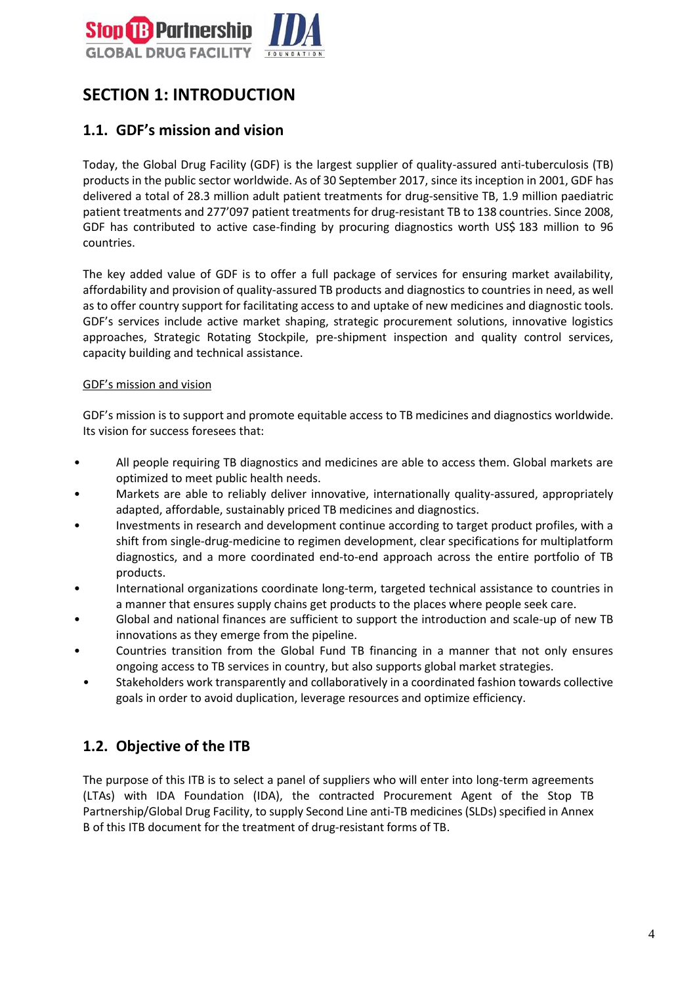

# <span id="page-3-0"></span>**SECTION 1: INTRODUCTION**

## <span id="page-3-1"></span>**1.1. GDF's mission and vision**

Today, the Global Drug Facility (GDF) is the largest supplier of quality-assured anti-tuberculosis (TB) products in the public sector worldwide. As of 30 September 2017, since its inception in 2001, GDF has delivered a total of 28.3 million adult patient treatments for drug-sensitive TB, 1.9 million paediatric patient treatments and 277'097 patient treatments for drug-resistant TB to 138 countries. Since 2008, GDF has contributed to active case-finding by procuring diagnostics worth US\$ 183 million to 96 countries.

The key added value of GDF is to offer a full package of services for ensuring market availability, affordability and provision of quality-assured TB products and diagnostics to countries in need, as well as to offer country support for facilitating access to and uptake of new medicines and diagnostic tools. GDF's services include active market shaping, strategic procurement solutions, innovative logistics approaches, Strategic Rotating Stockpile, pre-shipment inspection and quality control services, capacity building and technical assistance.

#### GDF's mission and vision

GDF's mission is to support and promote equitable access to TB medicines and diagnostics worldwide. Its vision for success foresees that:

- All people requiring TB diagnostics and medicines are able to access them. Global markets are optimized to meet public health needs.
- Markets are able to reliably deliver innovative, internationally quality-assured, appropriately adapted, affordable, sustainably priced TB medicines and diagnostics.
- Investments in research and development continue according to target product profiles, with a shift from single-drug-medicine to regimen development, clear specifications for multiplatform diagnostics, and a more coordinated end-to-end approach across the entire portfolio of TB products.
- International organizations coordinate long-term, targeted technical assistance to countries in a manner that ensures supply chains get products to the places where people seek care.
- Global and national finances are sufficient to support the introduction and scale-up of new TB innovations as they emerge from the pipeline.
- Countries transition from the Global Fund TB financing in a manner that not only ensures ongoing access to TB services in country, but also supports global market strategies.
- Stakeholders work transparently and collaboratively in a coordinated fashion towards collective goals in order to avoid duplication, leverage resources and optimize efficiency.

## <span id="page-3-2"></span>**1.2. Objective of the ITB**

The purpose of this ITB is to select a panel of suppliers who will enter into long-term agreements (LTAs) with IDA Foundation (IDA), the contracted Procurement Agent of the Stop TB Partnership/Global Drug Facility, to supply Second Line anti-TB medicines (SLDs) specified in Annex B of this ITB document for the treatment of drug-resistant forms of TB.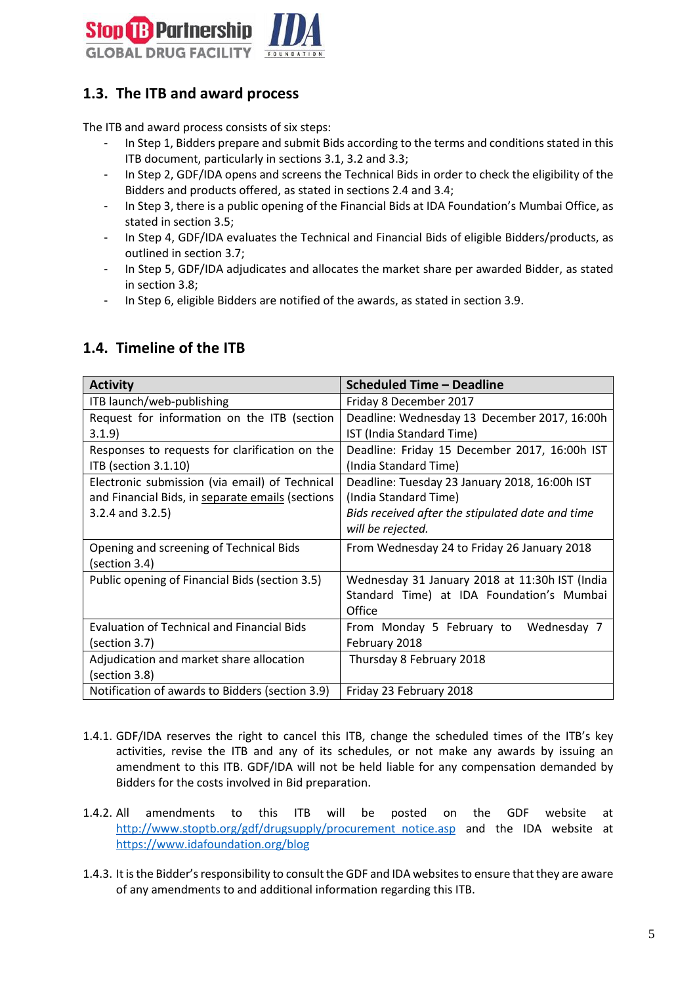

## <span id="page-4-0"></span>**1.3. The ITB and award process**

The ITB and award process consists of six steps:

- In Step 1, Bidders prepare and submit Bids according to the terms and conditions stated in this ITB document, particularly in sections 3.1, 3.2 and 3.3;
- In Step 2, GDF/IDA opens and screens the Technical Bids in order to check the eligibility of the Bidders and products offered, as stated in sections 2.4 and 3.4;
- In Step 3, there is a public opening of the Financial Bids at IDA Foundation's Mumbai Office, as stated in section 3.5;
- In Step 4, GDF/IDA evaluates the Technical and Financial Bids of eligible Bidders/products, as outlined in section 3.7;
- In Step 5, GDF/IDA adjudicates and allocates the market share per awarded Bidder, as stated in section 3.8;
- In Step 6, eligible Bidders are notified of the awards, as stated in section 3.9.

| <b>Activity</b>                                                                                                             | <b>Scheduled Time - Deadline</b>                                                                                                                |
|-----------------------------------------------------------------------------------------------------------------------------|-------------------------------------------------------------------------------------------------------------------------------------------------|
| ITB launch/web-publishing                                                                                                   | Friday 8 December 2017                                                                                                                          |
| Request for information on the ITB (section<br>3.1.9                                                                        | Deadline: Wednesday 13 December 2017, 16:00h<br>IST (India Standard Time)                                                                       |
| Responses to requests for clarification on the<br>ITB (section 3.1.10)                                                      | Deadline: Friday 15 December 2017, 16:00h IST<br>(India Standard Time)                                                                          |
| Electronic submission (via email) of Technical<br>and Financial Bids, in separate emails (sections<br>$3.2.4$ and $3.2.5$ ) | Deadline: Tuesday 23 January 2018, 16:00h IST<br>(India Standard Time)<br>Bids received after the stipulated date and time<br>will be rejected. |
| Opening and screening of Technical Bids<br>(section 3.4)                                                                    | From Wednesday 24 to Friday 26 January 2018                                                                                                     |
| Public opening of Financial Bids (section 3.5)                                                                              | Wednesday 31 January 2018 at 11:30h IST (India<br>Standard Time) at IDA Foundation's Mumbai<br>Office                                           |
| <b>Evaluation of Technical and Financial Bids</b><br>(section 3.7)                                                          | From Monday 5 February to<br>Wednesday 7<br>February 2018                                                                                       |
| Adjudication and market share allocation<br>(section 3.8)                                                                   | Thursday 8 February 2018                                                                                                                        |
| Notification of awards to Bidders (section 3.9)                                                                             | Friday 23 February 2018                                                                                                                         |

## <span id="page-4-1"></span>**1.4. Timeline of the ITB**

- 1.4.1. GDF/IDA reserves the right to cancel this ITB, change the scheduled times of the ITB's key activities, revise the ITB and any of its schedules, or not make any awards by issuing an amendment to this ITB. GDF/IDA will not be held liable for any compensation demanded by Bidders for the costs involved in Bid preparation.
- 1.4.2. All amendments to this ITB will be posted on the GDF website at [http://www.stoptb.org/gdf/drugsupply/procurement\\_notice.asp](http://www.stoptb.org/gdf/drugsupply/procurement_notice.asp) and the IDA website at https://www.idafoundation.org/blog
- 1.4.3. It is the Bidder's responsibility to consult the GDF and IDA websites to ensure that they are aware of any amendments to and additional information regarding this ITB.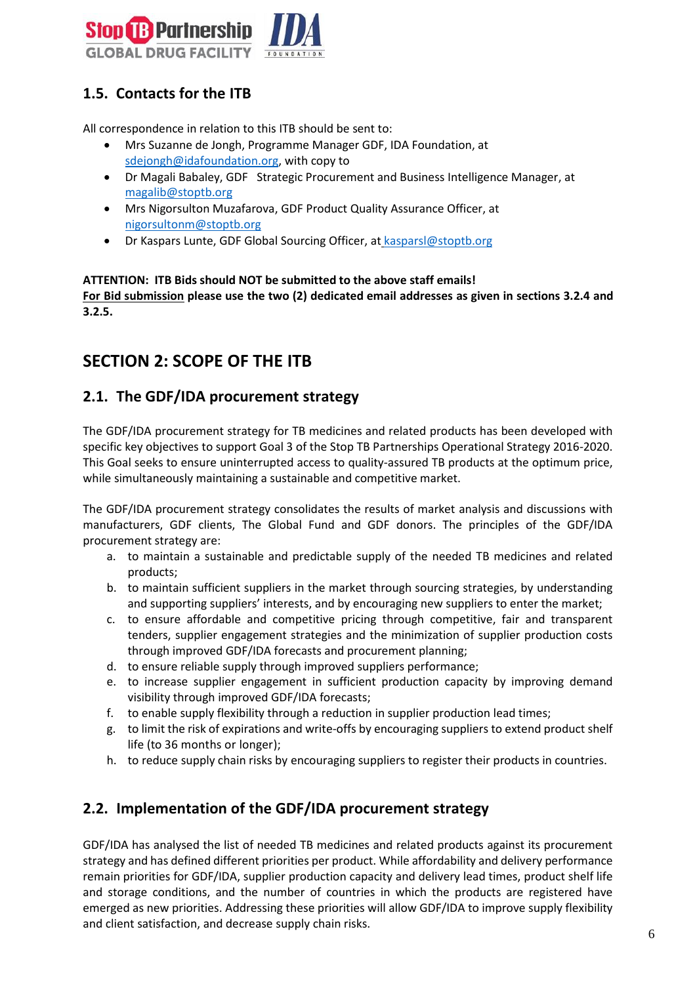

# <span id="page-5-0"></span>**1.5. Contacts for the ITB**

All correspondence in relation to this ITB should be sent to:

- Mrs Suzanne de Jongh, Programme Manager GDF, IDA Foundation, [at](mailto:sdejongh@idafoundation.org)  [sdejongh@idafoundation.org,](mailto:sdejongh@idafoundation.org) with copy to
- Dr Magali Babaley, GD[F](mailto:joubertonf@who.int) Strategic Procurement and Business Intelligence Manager, at [magalib@stoptb.org](mailto:magalib@stoptb.org)
- Mrs Nigorsulton Muzafarova, GDF Product Quality Assurance Officer, at [nigorsultonm@stoptb.org](mailto:nigorsultonm@stoptb.org)
- Dr Kaspars Lunte, GDF Global Sourcing Officer, at kasparsl@stoptb.org

**ATTENTION: ITB Bids should NOT be submitted to the above staff emails! For Bid submission please use the two (2) dedicated email addresses as given in sections 3.2.4 and 3.2.5.**

# <span id="page-5-1"></span>**SECTION 2: SCOPE OF THE ITB**

## <span id="page-5-2"></span>**2.1. The GDF/IDA procurement strategy**

The GDF/IDA procurement strategy for TB medicines and related products has been developed with specific key objectives to support Goal 3 of the Stop TB Partnerships Operational Strategy 2016-2020. This Goal seeks to ensure uninterrupted access to quality-assured TB products at the optimum price, while simultaneously maintaining a sustainable and competitive market.

The GDF/IDA procurement strategy consolidates the results of market analysis and discussions with manufacturers, GDF clients, The Global Fund and GDF donors. The principles of the GDF/IDA procurement strategy are:

- a. to maintain a sustainable and predictable supply of the needed TB medicines and related products;
- b. to maintain sufficient suppliers in the market through sourcing strategies, by understanding and supporting suppliers' interests, and by encouraging new suppliers to enter the market;
- c. to ensure affordable and competitive pricing through competitive, fair and transparent tenders, supplier engagement strategies and the minimization of supplier production costs through improved GDF/IDA forecasts and procurement planning;
- d. to ensure reliable supply through improved suppliers performance;
- e. to increase supplier engagement in sufficient production capacity by improving demand visibility through improved GDF/IDA forecasts;
- f. to enable supply flexibility through a reduction in supplier production lead times;
- g. to limit the risk of expirations and write-offs by encouraging suppliers to extend product shelf life (to 36 months or longer);
- h. to reduce supply chain risks by encouraging suppliers to register their products in countries.

## <span id="page-5-3"></span>**2.2. Implementation of the GDF/IDA procurement strategy**

GDF/IDA has analysed the list of needed TB medicines and related products against its procurement strategy and has defined different priorities per product. While affordability and delivery performance remain priorities for GDF/IDA, supplier production capacity and delivery lead times, product shelf life and storage conditions, and the number of countries in which the products are registered have emerged as new priorities. Addressing these priorities will allow GDF/IDA to improve supply flexibility and client satisfaction, and decrease supply chain risks.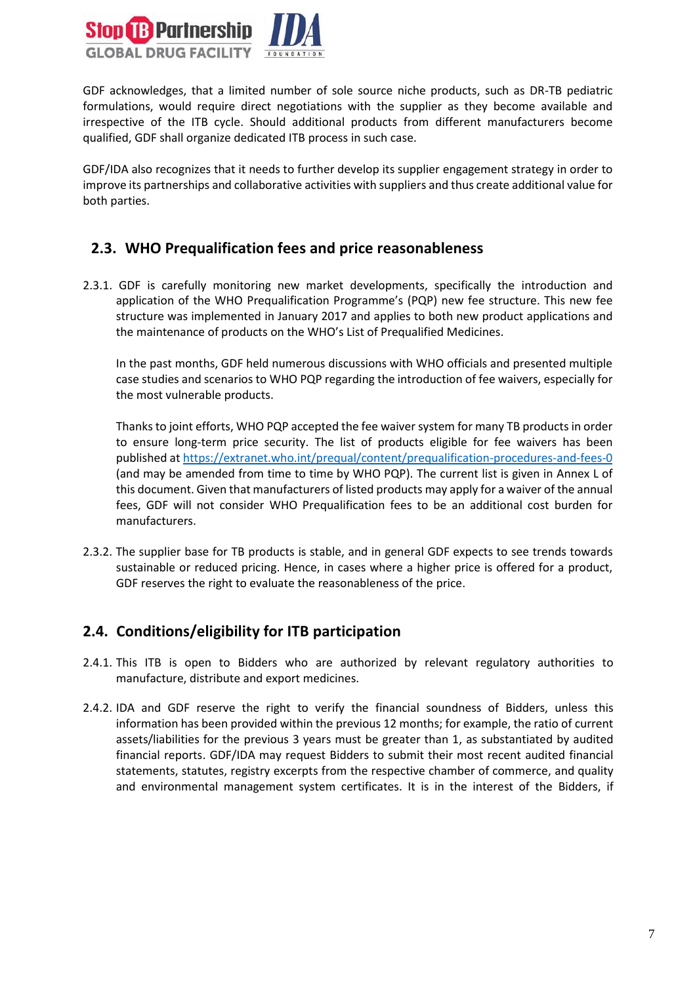

GDF acknowledges, that a limited number of sole source niche products, such as DR-TB pediatric formulations, would require direct negotiations with the supplier as they become available and irrespective of the ITB cycle. Should additional products from different manufacturers become qualified, GDF shall organize dedicated ITB process in such case.

GDF/IDA also recognizes that it needs to further develop its supplier engagement strategy in order to improve its partnerships and collaborative activities with suppliers and thus create additional value for both parties.

#### <span id="page-6-0"></span>**2.3. WHO Prequalification fees and price reasonableness**

2.3.1. GDF is carefully monitoring new market developments, specifically the introduction and application of the WHO Prequalification Programme's (PQP) new fee structure. This new fee structure was implemented in January 2017 and applies to both new product applications and the maintenance of products on the WHO's List of Prequalified Medicines.

In the past months, GDF held numerous discussions with WHO officials and presented multiple case studies and scenarios to WHO PQP regarding the introduction of fee waivers, especially for the most vulnerable products.

Thanks to joint efforts, WHO PQP accepted the fee waiver system for many TB products in order to ensure long-term price security. The list of products eligible for fee waivers has been published at <https://extranet.who.int/prequal/content/prequalification-procedures-and-fees-0> (and may be amended from time to time by WHO PQP). The current list is given in Annex L of this document. Given that manufacturers of listed products may apply for a waiver of the annual fees, GDF will not consider WHO Prequalification fees to be an additional cost burden for manufacturers.

2.3.2. The supplier base for TB products is stable, and in general GDF expects to see trends towards sustainable or reduced pricing. Hence, in cases where a higher price is offered for a product, GDF reserves the right to evaluate the reasonableness of the price.

## <span id="page-6-1"></span>**2.4. Conditions/eligibility for ITB participation**

- 2.4.1. This ITB is open to Bidders who are authorized by relevant regulatory authorities to manufacture, distribute and export medicines.
- 2.4.2. IDA and GDF reserve the right to verify the financial soundness of Bidders, unless this information has been provided within the previous 12 months; for example, the ratio of current assets/liabilities for the previous 3 years must be greater than 1, as substantiated by audited financial reports. GDF/IDA may request Bidders to submit their most recent audited financial statements, statutes, registry excerpts from the respective chamber of commerce, and quality and environmental management system certificates. It is in the interest of the Bidders, if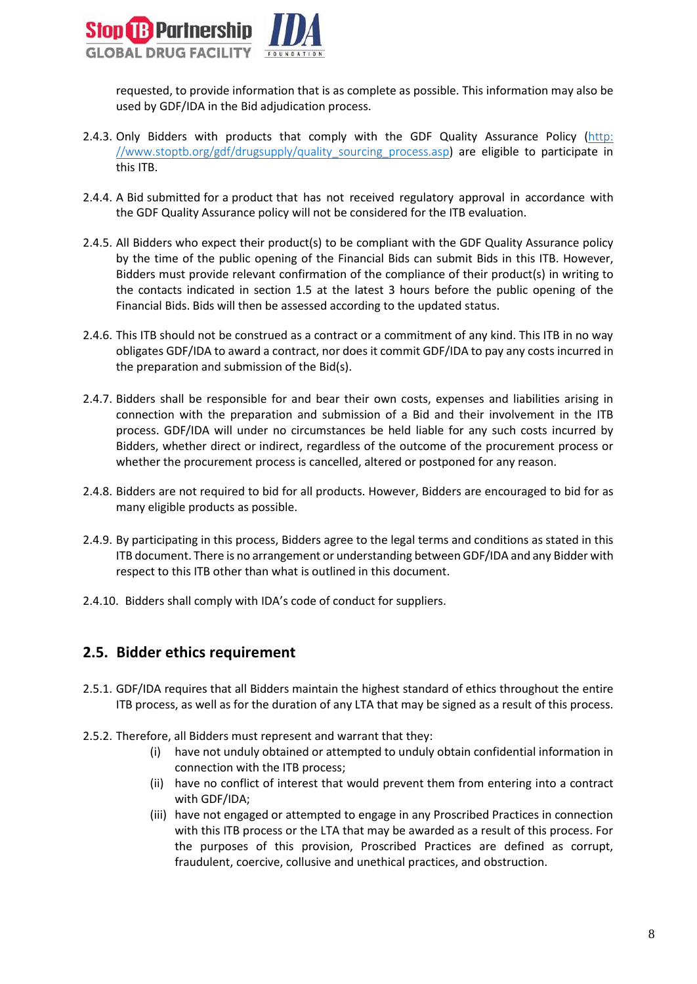

requested, to provide information that is as complete as possible. This information may also be used by GDF/IDA in the Bid adjudication process.

- 2.4.3. Only Bidders with products that comply with the GDF Quality Assurance Policy (http: //www.stoptb.org/gdf/drugsupply/quality sourcing process.asp) are eligible to participate in this ITB.
- 2.4.4. A Bid submitted for a product that has not received regulatory approval in accordance with the GDF Quality Assurance policy will not be considered for the ITB evaluation.
- 2.4.5. All Bidders who expect their product(s) to be compliant with the GDF Quality Assurance policy by the time of the public opening of the Financial Bids can submit Bids in this ITB. However, Bidders must provide relevant confirmation of the compliance of their product(s) in writing to the contacts indicated in section 1.5 at the latest 3 hours before the public opening of the Financial Bids. Bids will then be assessed according to the updated status.
- 2.4.6. This ITB should not be construed as a contract or a commitment of any kind. This ITB in no way obligates GDF/IDA to award a contract, nor does it commit GDF/IDA to pay any costs incurred in the preparation and submission of the Bid(s).
- 2.4.7. Bidders shall be responsible for and bear their own costs, expenses and liabilities arising in connection with the preparation and submission of a Bid and their involvement in the ITB process. GDF/IDA will under no circumstances be held liable for any such costs incurred by Bidders, whether direct or indirect, regardless of the outcome of the procurement process or whether the procurement process is cancelled, altered or postponed for any reason.
- 2.4.8. Bidders are not required to bid for all products. However, Bidders are encouraged to bid for as many eligible products as possible.
- 2.4.9. By participating in this process, Bidders agree to the legal terms and conditions as stated in this ITB document. There is no arrangement or understanding between GDF/IDA and any Bidder with respect to this ITB other than what is outlined in this document.
- 2.4.10. Bidders shall comply with IDA's [code of conduct](http://www.un.org/Depts/ptd/sites/dr7.un.org.Depts.ptd/files/files/attachment/page/2014/February%202014/conduct_english.pdf) for suppliers.

#### <span id="page-7-0"></span>**2.5. Bidder ethics requirement**

- 2.5.1. GDF/IDA requires that all Bidders maintain the highest standard of ethics throughout the entire ITB process, as well as for the duration of any LTA that may be signed as a result of this process.
- 2.5.2. Therefore, all Bidders must represent and warrant that they:
	- (i) have not unduly obtained or attempted to unduly obtain confidential information in connection with the ITB process;
	- (ii) have no conflict of interest that would prevent them from entering into a contract with GDF/IDA;
	- (iii) have not engaged or attempted to engage in any Proscribed Practices in connection with this ITB process or the LTA that may be awarded as a result of this process. For the purposes of this provision, Proscribed Practices are defined as corrupt, fraudulent, coercive, collusive and unethical practices, and obstruction.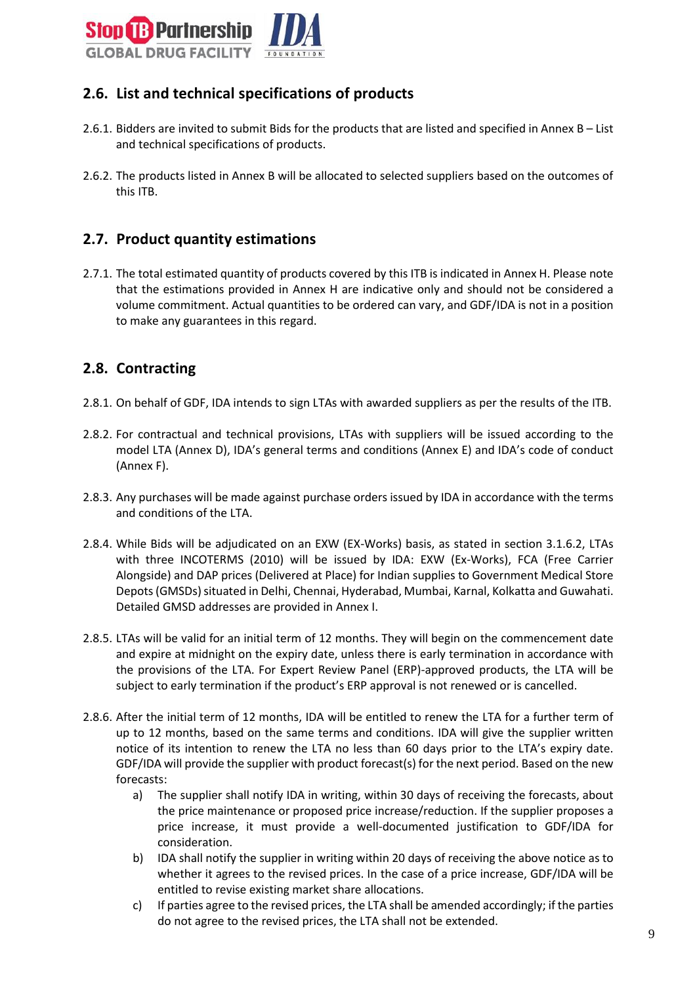

## <span id="page-8-0"></span>**2.6. List and technical specifications of products**

- 2.6.1. Bidders are invited to submit Bids for the products that are listed and specified in Annex B List and technical specifications of products.
- 2.6.2. The products listed in Annex B will be allocated to selected suppliers based on the outcomes of this ITB.

#### <span id="page-8-1"></span>**2.7. Product quantity estimations**

2.7.1. The total estimated quantity of products covered by this ITB is indicated in Annex H. Please note that the estimations provided in Annex H are indicative only and should not be considered a volume commitment. Actual quantities to be ordered can vary, and GDF/IDA is not in a position to make any guarantees in this regard.

#### <span id="page-8-2"></span>**2.8. Contracting**

- 2.8.1. On behalf of GDF, IDA intends to sign LTAs with awarded suppliers as per the results of the ITB.
- 2.8.2. For contractual and technical provisions, LTAs with suppliers will be issued according to the model LTA (Annex D), IDA's general terms and conditions (Annex E) and IDA's code of conduct (Annex F).
- 2.8.3. Any purchases will be made against purchase orders issued by IDA in accordance with the terms and conditions of the LTA.
- 2.8.4. While Bids will be adjudicated on an EXW (EX-Works) basis, as stated in section 3.1.6.2, LTAs with three INCOTERMS (2010) will be issued by IDA: EXW (Ex-Works), FCA (Free Carrier Alongside) and DAP prices (Delivered at Place) for Indian supplies to Government Medical Store Depots (GMSDs) situated in Delhi, Chennai, Hyderabad, Mumbai, Karnal, Kolkatta and Guwahati. Detailed GMSD addresses are provided in Annex I.
- 2.8.5. LTAs will be valid for an initial term of 12 months. They will begin on the commencement date and expire at midnight on the expiry date, unless there is early termination in accordance with the provisions of the LTA. For Expert Review Panel (ERP)-approved products, the LTA will be subject to early termination if the product's ERP approval is not renewed or is cancelled.
- 2.8.6. After the initial term of 12 months, IDA will be entitled to renew the LTA for a further term of up to 12 months, based on the same terms and conditions. IDA will give the supplier written notice of its intention to renew the LTA no less than 60 days prior to the LTA's expiry date. GDF/IDA will provide the supplier with product forecast(s) for the next period. Based on the new forecasts:
	- a) The supplier shall notify IDA in writing, within 30 days of receiving the forecasts, about the price maintenance or proposed price increase/reduction. If the supplier proposes a price increase, it must provide a well-documented justification to GDF/IDA for consideration.
	- b) IDA shall notify the supplier in writing within 20 days of receiving the above notice as to whether it agrees to the revised prices. In the case of a price increase, GDF/IDA will be entitled to revise existing market share allocations.
	- c) If parties agree to the revised prices, the LTA shall be amended accordingly; if the parties do not agree to the revised prices, the LTA shall not be extended.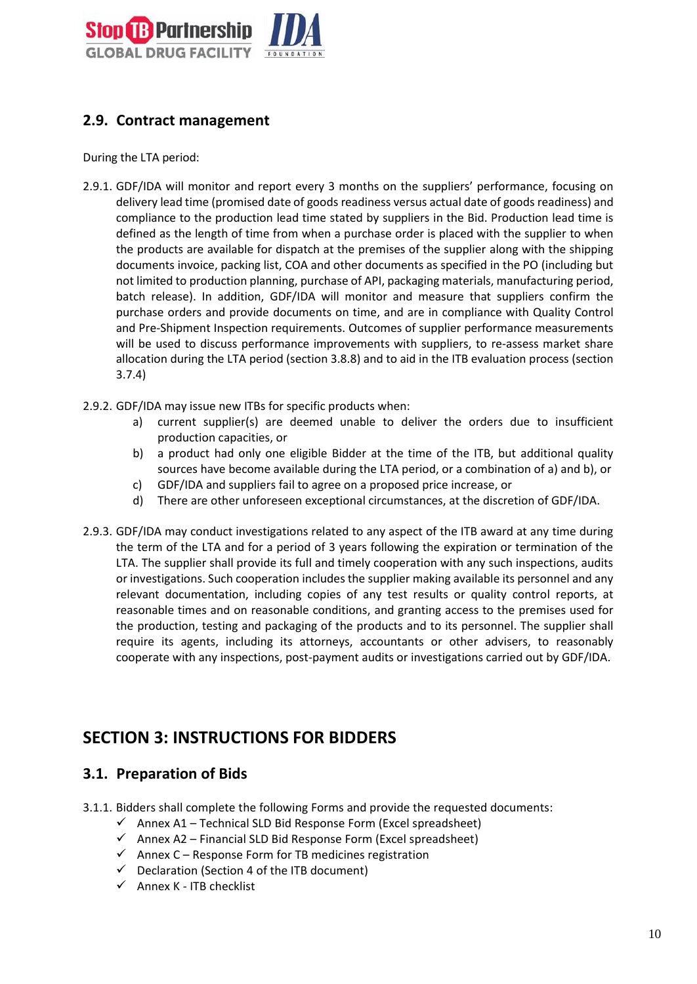

## <span id="page-9-0"></span>**2.9. Contract management**

During the LTA period:

- 2.9.1. GDF/IDA will monitor and report every 3 months on the suppliers' performance, focusing on delivery lead time (promised date of goods readiness versus actual date of goods readiness) and compliance to the production lead time stated by suppliers in the Bid. Production lead time is defined as the length of time from when a purchase order is placed with the supplier to when the products are available for dispatch at the premises of the supplier along with the shipping documents invoice, packing list, COA and other documents as specified in the PO (including but not limited to production planning, purchase of API, packaging materials, manufacturing period, batch release). In addition, GDF/IDA will monitor and measure that suppliers confirm the purchase orders and provide documents on time, and are in compliance with Quality Control and Pre-Shipment Inspection requirements. Outcomes of supplier performance measurements will be used to discuss performance improvements with suppliers, to re-assess market share allocation during the LTA period (section 3.8.8) and to aid in the ITB evaluation process (section 3.7.4)
- 2.9.2. GDF/IDA may issue new ITBs for specific products when:
	- a) current supplier(s) are deemed unable to deliver the orders due to insufficient production capacities, or
	- b) a product had only one eligible Bidder at the time of the ITB, but additional quality sources have become available during the LTA period, or a combination of a) and b), or
	- c) GDF/IDA and suppliers fail to agree on a proposed price increase, or
	- d) There are other unforeseen exceptional circumstances, at the discretion of GDF/IDA.
- 2.9.3. GDF/IDA may conduct investigations related to any aspect of the ITB award at any time during the term of the LTA and for a period of 3 years following the expiration or termination of the LTA. The supplier shall provide its full and timely cooperation with any such inspections, audits or investigations. Such cooperation includes the supplier making available its personnel and any relevant documentation, including copies of any test results or quality control reports, at reasonable times and on reasonable conditions, and granting access to the premises used for the production, testing and packaging of the products and to its personnel. The supplier shall require its agents, including its attorneys, accountants or other advisers, to reasonably cooperate with any inspections, post-payment audits or investigations carried out by GDF/IDA.

# <span id="page-9-1"></span>**SECTION 3: INSTRUCTIONS FOR BIDDERS**

#### <span id="page-9-2"></span>**3.1. Preparation of Bids**

- 3.1.1. Bidders shall complete the following Forms and provide the requested documents:
	- $\checkmark$  Annex A1 Technical SLD Bid Response Form (Excel spreadsheet)
	- $\checkmark$  Annex A2 Financial SLD Bid Response Form (Excel spreadsheet)
	- $\checkmark$  Annex C Response Form for TB medicines registration
	- $\checkmark$  Declaration (Section 4 of the ITB document)
	- $\checkmark$  Annex K ITB checklist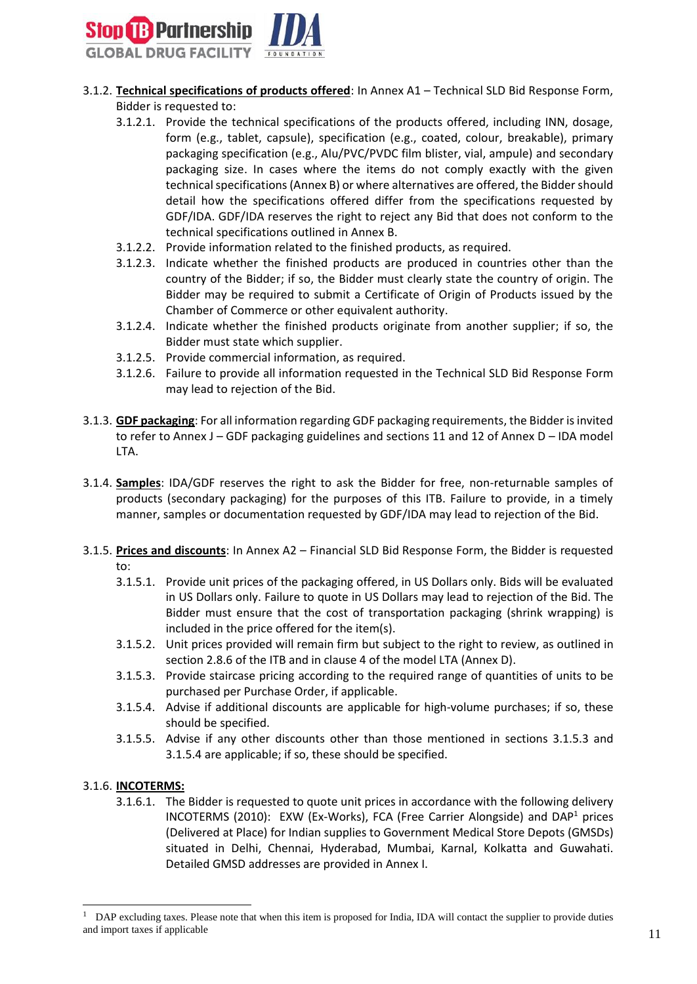

- 3.1.2. **Technical specifications of products offered**: In Annex A1 Technical SLD Bid Response Form, Bidder is requested to:
	- 3.1.2.1. Provide the technical specifications of the products offered, including INN, dosage, form (e.g., tablet, capsule), specification (e.g., coated, colour, breakable), primary packaging specification (e.g., Alu/PVC/PVDC film blister, vial, ampule) and secondary packaging size. In cases where the items do not comply exactly with the given technical specifications (Annex B) or where alternatives are offered, the Bidder should detail how the specifications offered differ from the specifications requested by GDF/IDA. GDF/IDA reserves the right to reject any Bid that does not conform to the technical specifications outlined in Annex B.
	- 3.1.2.2. Provide information related to the finished products, as required.
	- 3.1.2.3. Indicate whether the finished products are produced in countries other than the country of the Bidder; if so, the Bidder must clearly state the country of origin. The Bidder may be required to submit a Certificate of Origin of Products issued by the Chamber of Commerce or other equivalent authority.
	- 3.1.2.4. Indicate whether the finished products originate from another supplier; if so, the Bidder must state which supplier.
	- 3.1.2.5. Provide commercial information, as required.
	- 3.1.2.6. Failure to provide all information requested in the Technical SLD Bid Response Form may lead to rejection of the Bid.
- 3.1.3. **GDF packaging**: For all information regarding GDF packaging requirements, the Bidder is invited to refer to Annex J – GDF packaging guidelines and sections 11 and 12 of Annex D – IDA model LTA.
- 3.1.4. **Samples**: IDA/GDF reserves the right to ask the Bidder for free, non-returnable samples of products (secondary packaging) for the purposes of this ITB. Failure to provide, in a timely manner, samples or documentation requested by GDF/IDA may lead to rejection of the Bid.
- 3.1.5. **Prices and discounts**: In Annex A2 Financial SLD Bid Response Form, the Bidder is requested to:
	- 3.1.5.1. Provide unit prices of the packaging offered, in US Dollars only. Bids will be evaluated in US Dollars only. Failure to quote in US Dollars may lead to rejection of the Bid. The Bidder must ensure that the cost of transportation packaging (shrink wrapping) is included in the price offered for the item(s).
	- 3.1.5.2. Unit prices provided will remain firm but subject to the right to review, as outlined in section 2.8.6 of the ITB and in clause 4 of the model LTA (Annex D).
	- 3.1.5.3. Provide staircase pricing according to the required range of quantities of units to be purchased per Purchase Order, if applicable.
	- 3.1.5.4. Advise if additional discounts are applicable for high-volume purchases; if so, these should be specified.
	- 3.1.5.5. Advise if any other discounts other than those mentioned in sections 3.1.5.3 and 3.1.5.4 are applicable; if so, these should be specified.

#### 3.1.6. **INCOTERMS:**

1

3.1.6.1. The Bidder is requested to quote unit prices in accordance with the following delivery INCOTERMS (2010): EXW (Ex-Works), FCA (Free Carrier Alongside) and  $DAP<sup>1</sup>$  prices (Delivered at Place) for Indian supplies to Government Medical Store Depots (GMSDs) situated in Delhi, Chennai, Hyderabad, Mumbai, Karnal, Kolkatta and Guwahati. Detailed GMSD addresses are provided in Annex I.

<sup>1</sup> DAP excluding taxes. Please note that when this item is proposed for India, IDA will contact the supplier to provide duties and import taxes if applicable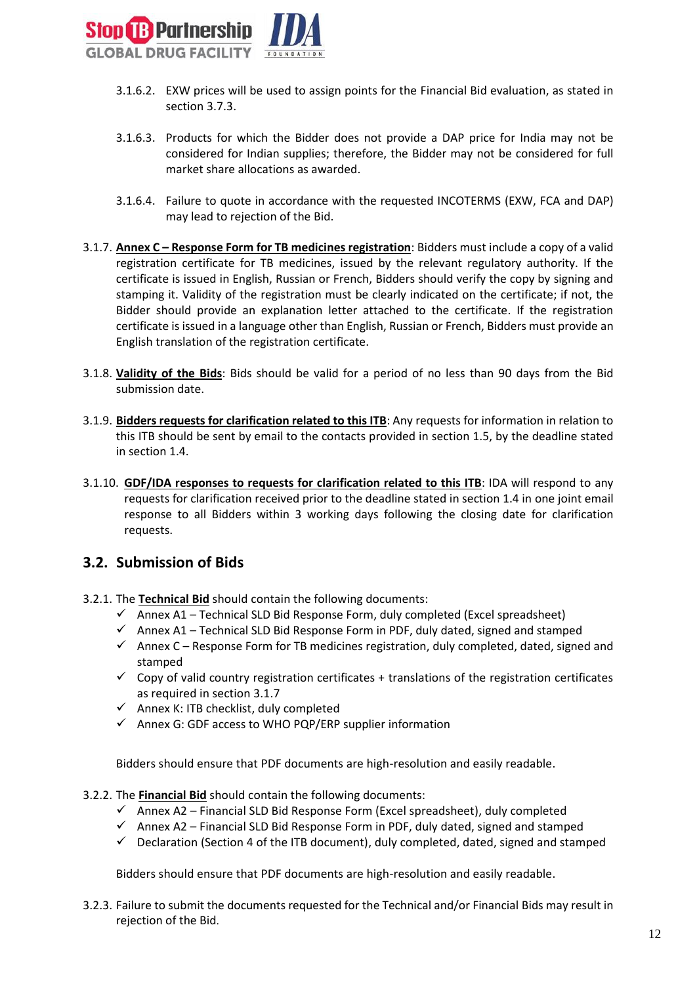

- 3.1.6.2. EXW prices will be used to assign points for the Financial Bid evaluation, as stated in section 3.7.3.
- 3.1.6.3. Products for which the Bidder does not provide a DAP price for India may not be considered for Indian supplies; therefore, the Bidder may not be considered for full market share allocations as awarded.
- 3.1.6.4. Failure to quote in accordance with the requested INCOTERMS (EXW, FCA and DAP) may lead to rejection of the Bid.
- 3.1.7. **Annex C – Response Form for TB medicines registration**: Bidders must include a copy of a valid registration certificate for TB medicines, issued by the relevant regulatory authority. If the certificate is issued in English, Russian or French, Bidders should verify the copy by signing and stamping it. Validity of the registration must be clearly indicated on the certificate; if not, the Bidder should provide an explanation letter attached to the certificate. If the registration certificate is issued in a language other than English, Russian or French, Bidders must provide an English translation of the registration certificate.
- 3.1.8. **Validity of the Bids**: Bids should be valid for a period of no less than 90 days from the Bid submission date.
- 3.1.9. **Bidders requests for clarification related to this ITB**: Any requests for information in relation to this ITB should be sent by email to the contacts provided in section 1.5, by the deadline stated in section 1.4.
- 3.1.10. **GDF/IDA responses to requests for clarification related to this ITB**: IDA will respond to any requests for clarification received prior to the deadline stated in section 1.4 in one joint email response to all Bidders within 3 working days following the closing date for clarification requests.

#### <span id="page-11-0"></span>**3.2. Submission of Bids**

- 3.2.1. The **Technical Bid** should contain the following documents:
	- $\checkmark$  Annex A1 Technical SLD Bid Response Form, duly completed (Excel spreadsheet)
	- $\checkmark$  Annex A1 Technical SLD Bid Response Form in PDF, duly dated, signed and stamped
	- $\checkmark$  Annex C Response Form for TB medicines registration, duly completed, dated, signed and stamped
	- $\checkmark$  Copy of valid country registration certificates + translations of the registration certificates as required in section 3.1.7
	- $\checkmark$  Annex K: ITB checklist, duly completed
	- $\checkmark$  Annex G: GDF access to WHO PQP/ERP supplier information

Bidders should ensure that PDF documents are high-resolution and easily readable.

- 3.2.2. The **Financial Bid** should contain the following documents:
	- $\checkmark$  Annex A2 Financial SLD Bid Response Form (Excel spreadsheet), duly completed
	- $\checkmark$  Annex A2 Financial SLD Bid Response Form in PDF, duly dated, signed and stamped
	- $\checkmark$  Declaration (Section 4 of the ITB document), duly completed, dated, signed and stamped

Bidders should ensure that PDF documents are high-resolution and easily readable.

3.2.3. Failure to submit the documents requested for the Technical and/or Financial Bids may result in rejection of the Bid.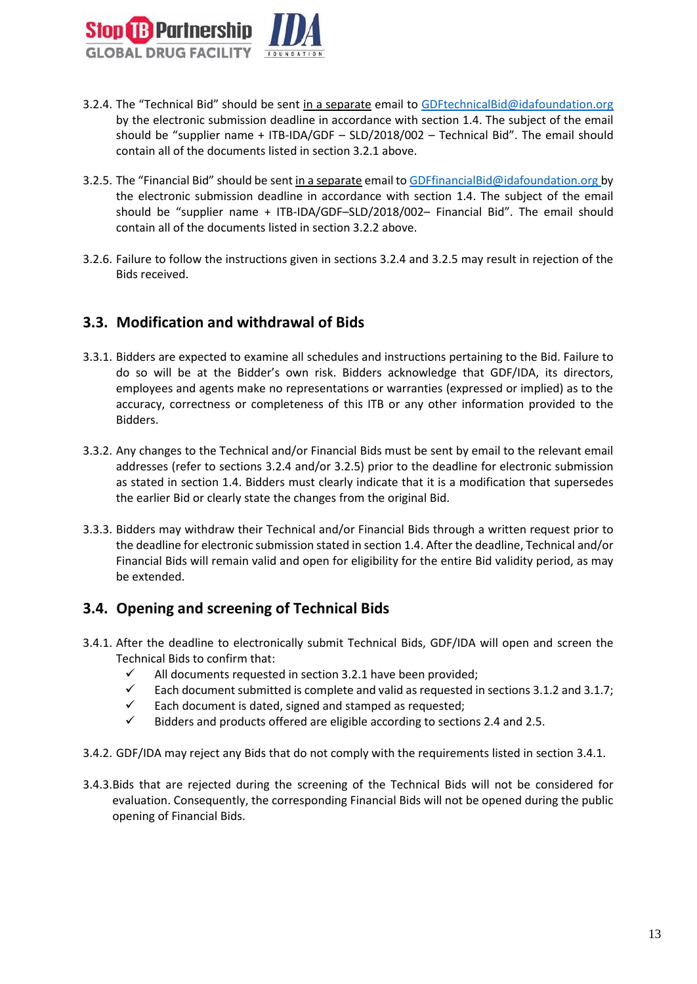

- 3.2.4. The "Technical Bid" should be sent in a separate email to GD[FtechnicalBid@idafoundation.org](mailto:technicalbid@idafoundation.org) by the electronic submission deadline in accordance with section 1.4. The subject of the email should be "supplier name + ITB-IDA/GDF – SLD/2018/002 – Technical Bid". The email should contain all of the documents listed in section 3.2.1 above.
- 3.2.5. The "Financial Bid" should be sent in a separate email to GD[FfinancialBid@idafoundation.org](mailto:financialbid@idafoundation.org) by the electronic submission deadline in accordance with section 1.4. The subject of the email should be "supplier name + ITB-IDA/GDF–SLD/2018/002– Financial Bid". The email should contain all of the documents listed in section 3.2.2 above.
- 3.2.6. Failure to follow the instructions given in sections 3.2.4 and 3.2.5 may result in rejection of the Bids received.

### <span id="page-12-0"></span>**3.3. Modification and withdrawal of Bids**

- 3.3.1. Bidders are expected to examine all schedules and instructions pertaining to the Bid. Failure to do so will be at the Bidder's own risk. Bidders acknowledge that GDF/IDA, its directors, employees and agents make no representations or warranties (expressed or implied) as to the accuracy, correctness or completeness of this ITB or any other information provided to the Bidders.
- 3.3.2. Any changes to the Technical and/or Financial Bids must be sent by email to the relevant email addresses (refer to sections 3.2.4 and/or 3.2.5) prior to the deadline for electronic submission as stated in section 1.4. Bidders must clearly indicate that it is a modification that supersedes the earlier Bid or clearly state the changes from the original Bid.
- 3.3.3. Bidders may withdraw their Technical and/or Financial Bids through a written request prior to the deadline for electronic submission stated in section 1.4. After the deadline, Technical and/or Financial Bids will remain valid and open for eligibility for the entire Bid validity period, as may be extended.

#### <span id="page-12-1"></span>**3.4. Opening and screening of Technical Bids**

- 3.4.1. After the deadline to electronically submit Technical Bids, GDF/IDA will open and screen the Technical Bids to confirm that:
	- $\checkmark$  All documents requested in section 3.2.1 have been provided;
	- $\checkmark$  Each document submitted is complete and valid as requested in sections 3.1.2 and 3.1.7;
	- Each document is dated, signed and stamped as requested;
	- Bidders and products offered are eligible according to sections 2.4 and 2.5.
- 3.4.2. GDF/IDA may reject any Bids that do not comply with the requirements listed in section 3.4.1.
- 3.4.3.Bids that are rejected during the screening of the Technical Bids will not be considered for evaluation. Consequently, the corresponding Financial Bids will not be opened during the public opening of Financial Bids.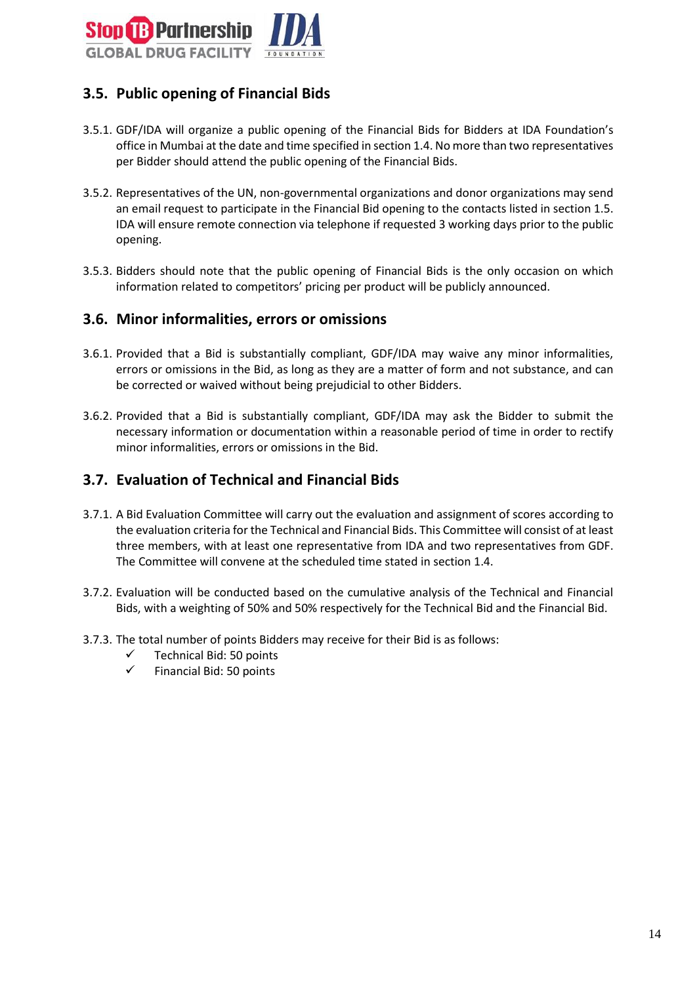

## <span id="page-13-0"></span>**3.5. Public opening of Financial Bids**

- 3.5.1. GDF/IDA will organize a public opening of the Financial Bids for Bidders at IDA Foundation's office in Mumbai at the date and time specified in section 1.4. No more than two representatives per Bidder should attend the public opening of the Financial Bids.
- 3.5.2. Representatives of the UN, non-governmental organizations and donor organizations may send an email request to participate in the Financial Bid opening to the contacts listed in section 1.5. IDA will ensure remote connection via telephone if requested 3 working days prior to the public opening.
- 3.5.3. Bidders should note that the public opening of Financial Bids is the only occasion on which information related to competitors' pricing per product will be publicly announced.

#### <span id="page-13-1"></span>**3.6. Minor informalities, errors or omissions**

- 3.6.1. Provided that a Bid is substantially compliant, GDF/IDA may waive any minor informalities, errors or omissions in the Bid, as long as they are a matter of form and not substance, and can be corrected or waived without being prejudicial to other Bidders.
- 3.6.2. Provided that a Bid is substantially compliant, GDF/IDA may ask the Bidder to submit the necessary information or documentation within a reasonable period of time in order to rectify minor informalities, errors or omissions in the Bid.

#### <span id="page-13-2"></span>**3.7. Evaluation of Technical and Financial Bids**

- 3.7.1. A Bid Evaluation Committee will carry out the evaluation and assignment of scores according to the evaluation criteria for the Technical and Financial Bids. This Committee will consist of at least three members, with at least one representative from IDA and two representatives from GDF. The Committee will convene at the scheduled time stated in section 1.4.
- 3.7.2. Evaluation will be conducted based on the cumulative analysis of the Technical and Financial Bids, with a weighting of 50% and 50% respectively for the Technical Bid and the Financial Bid.
- 3.7.3. The total number of points Bidders may receive for their Bid is as follows:
	- Technical Bid: 50 points
	- $\checkmark$  Financial Bid: 50 points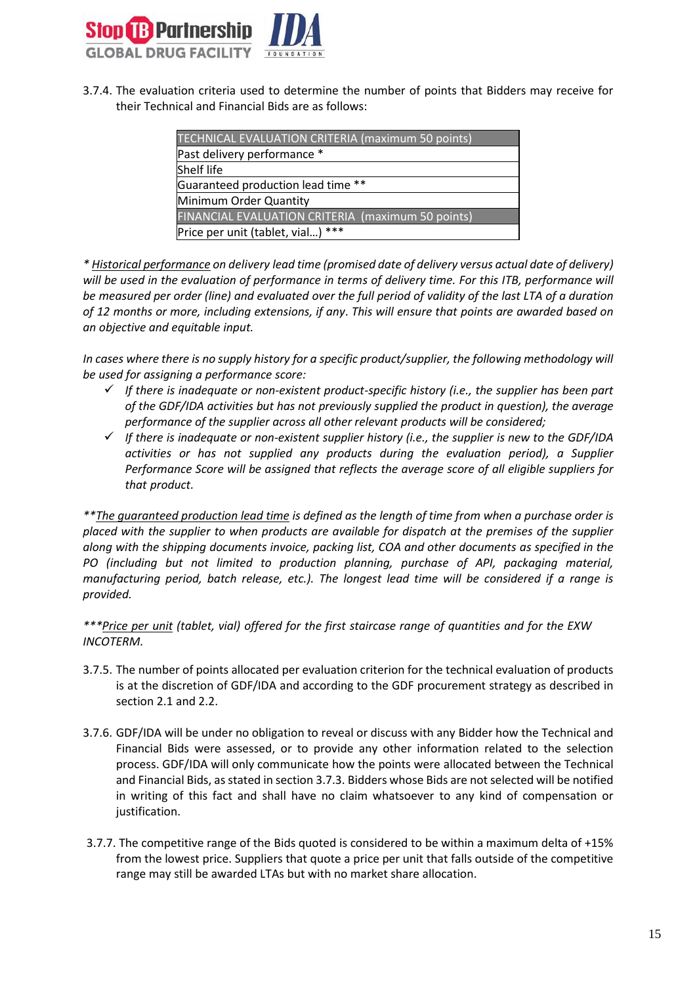

3.7.4. The evaluation criteria used to determine the number of points that Bidders may receive for their Technical and Financial Bids are as follows:

| <b>TECHNICAL EVALUATION CRITERIA (maximum 50 points)</b> |  |  |
|----------------------------------------------------------|--|--|
| Past delivery performance *                              |  |  |
| <b>Shelf life</b>                                        |  |  |
| Guaranteed production lead time **                       |  |  |
| Minimum Order Quantity                                   |  |  |
| <b>FINANCIAL EVALUATION CRITERIA (maximum 50 points)</b> |  |  |
| Price per unit (tablet, vial) ***                        |  |  |
|                                                          |  |  |

*\* Historical performance on delivery lead time (promised date of delivery versus actual date of delivery) will be used in the evaluation of performance in terms of delivery time. For this ITB, performance will be measured per order (line) and evaluated over the full period of validity of the last LTA of a duration of 12 months or more, including extensions, if any*. *This will ensure that points are awarded based on an objective and equitable input.*

*In cases where there is no supply history for a specific product/supplier, the following methodology will be used for assigning a performance score:*

- *If there is inadequate or non-existent product-specific history (i.e., the supplier has been part of the GDF/IDA activities but has not previously supplied the product in question), the average performance of the supplier across all other relevant products will be considered;*
- *If there is inadequate or non-existent supplier history (i.e., the supplier is new to the GDF/IDA activities or has not supplied any products during the evaluation period), a Supplier Performance Score will be assigned that reflects the average score of all eligible suppliers for that product.*

*\*\*The guaranteed production lead time is defined as the length of time from when a purchase order is placed with the supplier to when products are available for dispatch at the premises of the supplier along with the shipping documents invoice, packing list, COA and other documents as specified in the PO (including but not limited to production planning, purchase of API, packaging material, manufacturing period, batch release, etc.). The longest lead time will be considered if a range is provided.*

*\*\*\*Price per unit (tablet, vial) offered for the first staircase range of quantities and for the EXW INCOTERM.*

- 3.7.5. The number of points allocated per evaluation criterion for the technical evaluation of products is at the discretion of GDF/IDA and according to the GDF procurement strategy as described in section 2.1 and 2.2.
- 3.7.6. GDF/IDA will be under no obligation to reveal or discuss with any Bidder how the Technical and Financial Bids were assessed, or to provide any other information related to the selection process. GDF/IDA will only communicate how the points were allocated between the Technical and Financial Bids, as stated in section 3.7.3. Bidders whose Bids are not selected will be notified in writing of this fact and shall have no claim whatsoever to any kind of compensation or justification.
- 3.7.7. The competitive range of the Bids quoted is considered to be within a maximum delta of +15% from the lowest price. Suppliers that quote a price per unit that falls outside of the competitive range may still be awarded LTAs but with no market share allocation.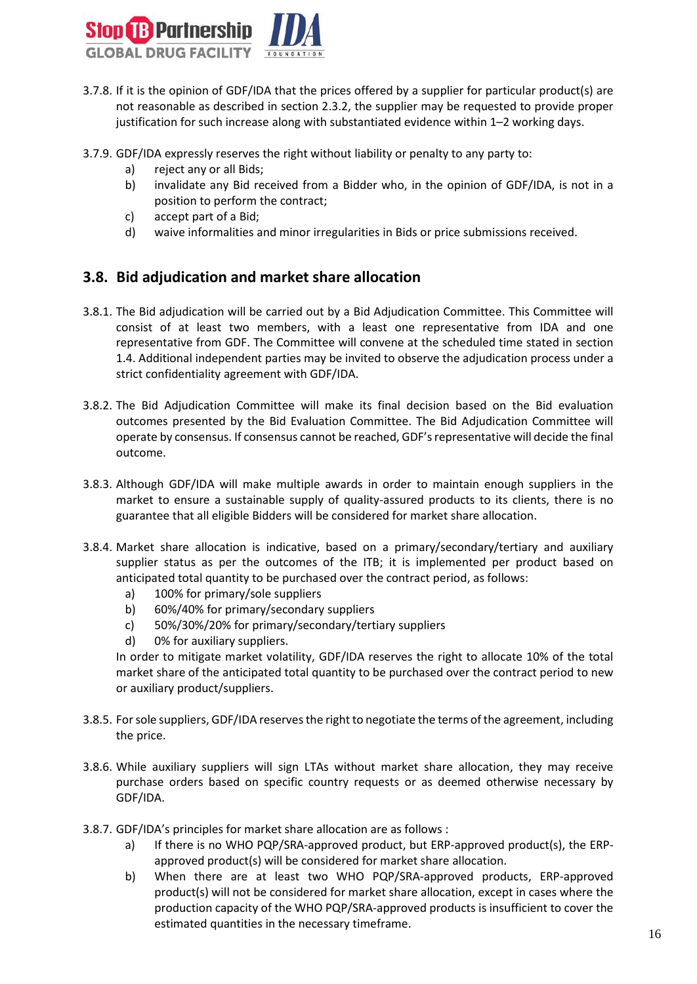

- 3.7.8. If it is the opinion of GDF/IDA that the prices offered by a supplier for particular product(s) are not reasonable as described in section 2.3.2, the supplier may be requested to provide proper justification for such increase along with substantiated evidence within 1–2 working days.
- 3.7.9. GDF/IDA expressly reserves the right without liability or penalty to any party to:
	- a) reject any or all Bids;
	- b) invalidate any Bid received from a Bidder who, in the opinion of GDF/IDA, is not in a position to perform the contract;
	- c) accept part of a Bid;
	- d) waive informalities and minor irregularities in Bids or price submissions received.

#### <span id="page-15-0"></span>**3.8. Bid adjudication and market share allocation**

- 3.8.1. The Bid adjudication will be carried out by a Bid Adjudication Committee. This Committee will consist of at least two members, with a least one representative from IDA and one representative from GDF. The Committee will convene at the scheduled time stated in section 1.4. Additional independent parties may be invited to observe the adjudication process under a strict confidentiality agreement with GDF/IDA.
- 3.8.2. The Bid Adjudication Committee will make its final decision based on the Bid evaluation outcomes presented by the Bid Evaluation Committee. The Bid Adjudication Committee will operate by consensus. If consensus cannot be reached, GDF'srepresentative will decide the final outcome.
- 3.8.3. Although GDF/IDA will make multiple awards in order to maintain enough suppliers in the market to ensure a sustainable supply of quality-assured products to its clients, there is no guarantee that all eligible Bidders will be considered for market share allocation.
- 3.8.4. Market share allocation is indicative, based on a primary/secondary/tertiary and auxiliary supplier status as per the outcomes of the ITB; it is implemented per product based on anticipated total quantity to be purchased over the contract period, as follows:
	- a) 100% for primary/sole suppliers
	- b) 60%/40% for primary/secondary suppliers
	- c) 50%/30%/20% for primary/secondary/tertiary suppliers
	- d) 0% for auxiliary suppliers.

In order to mitigate market volatility, GDF/IDA reserves the right to allocate 10% of the total market share of the anticipated total quantity to be purchased over the contract period to new or auxiliary product/suppliers.

- 3.8.5. For sole suppliers, GDF/IDA reservesthe right to negotiate the terms of the agreement, including the price.
- 3.8.6. While auxiliary suppliers will sign LTAs without market share allocation, they may receive purchase orders based on specific country requests or as deemed otherwise necessary by GDF/IDA.
- 3.8.7. GDF/IDA's principles for market share allocation are as follows :
	- a) If there is no WHO PQP/SRA-approved product, but ERP-approved product(s), the ERPapproved product(s) will be considered for market share allocation.
	- b) When there are at least two WHO PQP/SRA-approved products, ERP-approved product(s) will not be considered for market share allocation, except in cases where the production capacity of the WHO PQP/SRA-approved products is insufficient to cover the estimated quantities in the necessary timeframe.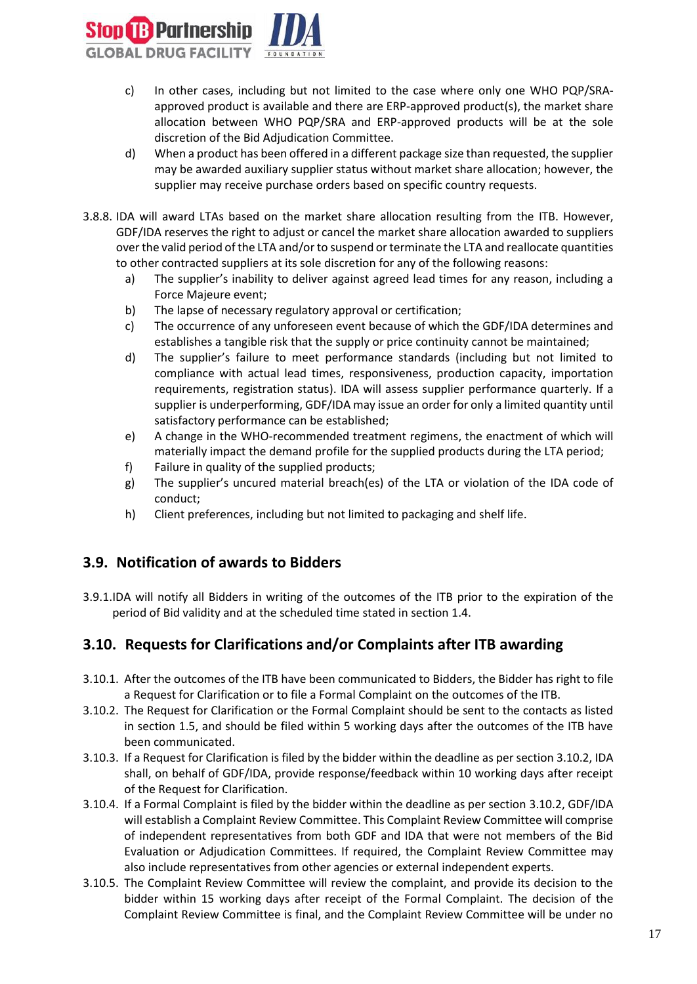

- c) In other cases, including but not limited to the case where only one WHO PQP/SRAapproved product is available and there are ERP-approved product(s), the market share allocation between WHO PQP/SRA and ERP-approved products will be at the sole discretion of the Bid Adjudication Committee.
- d) When a product has been offered in a different package size than requested, the supplier may be awarded auxiliary supplier status without market share allocation; however, the supplier may receive purchase orders based on specific country requests.
- 3.8.8. IDA will award LTAs based on the market share allocation resulting from the ITB. However, GDF/IDA reserves the right to adjust or cancel the market share allocation awarded to suppliers over the valid period of the LTA and/orto suspend or terminate the LTA and reallocate quantities to other contracted suppliers at its sole discretion for any of the following reasons:
	- a) The supplier's inability to deliver against agreed lead times for any reason, including a Force Majeure event;
	- b) The lapse of necessary regulatory approval or certification;
	- c) The occurrence of any unforeseen event because of which the GDF/IDA determines and establishes a tangible risk that the supply or price continuity cannot be maintained;
	- d) The supplier's failure to meet performance standards (including but not limited to compliance with actual lead times, responsiveness, production capacity, importation requirements, registration status). IDA will assess supplier performance quarterly. If a supplier is underperforming, GDF/IDA may issue an order for only a limited quantity until satisfactory performance can be established;
	- e) A change in the WHO-recommended treatment regimens, the enactment of which will materially impact the demand profile for the supplied products during the LTA period;
	- f) Failure in quality of the supplied products;
	- g) The supplier's uncured material breach(es) of the LTA or violation of the IDA code of conduct;
	- h) Client preferences, including but not limited to packaging and shelf life.

#### <span id="page-16-0"></span>**3.9. Notification of awards to Bidders**

3.9.1.IDA will notify all Bidders in writing of the outcomes of the ITB prior to the expiration of the period of Bid validity and at the scheduled time stated in section 1.4.

#### <span id="page-16-1"></span>**3.10. Requests for Clarifications and/or Complaints after ITB awarding**

- 3.10.1. After the outcomes of the ITB have been communicated to Bidders, the Bidder has right to file a Request for Clarification or to file a Formal Complaint on the outcomes of the ITB.
- 3.10.2. The Request for Clarification or the Formal Complaint should be sent to the contacts as listed in section 1.5, and should be filed within 5 working days after the outcomes of the ITB have been communicated.
- 3.10.3. If a Request for Clarification is filed by the bidder within the deadline as per section 3.10.2, IDA shall, on behalf of GDF/IDA, provide response/feedback within 10 working days after receipt of the Request for Clarification.
- 3.10.4. If a Formal Complaint is filed by the bidder within the deadline as per section 3.10.2, GDF/IDA will establish a Complaint Review Committee. This Complaint Review Committee will comprise of independent representatives from both GDF and IDA that were not members of the Bid Evaluation or Adjudication Committees. If required, the Complaint Review Committee may also include representatives from other agencies or external independent experts.
- 3.10.5. The Complaint Review Committee will review the complaint, and provide its decision to the bidder within 15 working days after receipt of the Formal Complaint. The decision of the Complaint Review Committee is final, and the Complaint Review Committee will be under no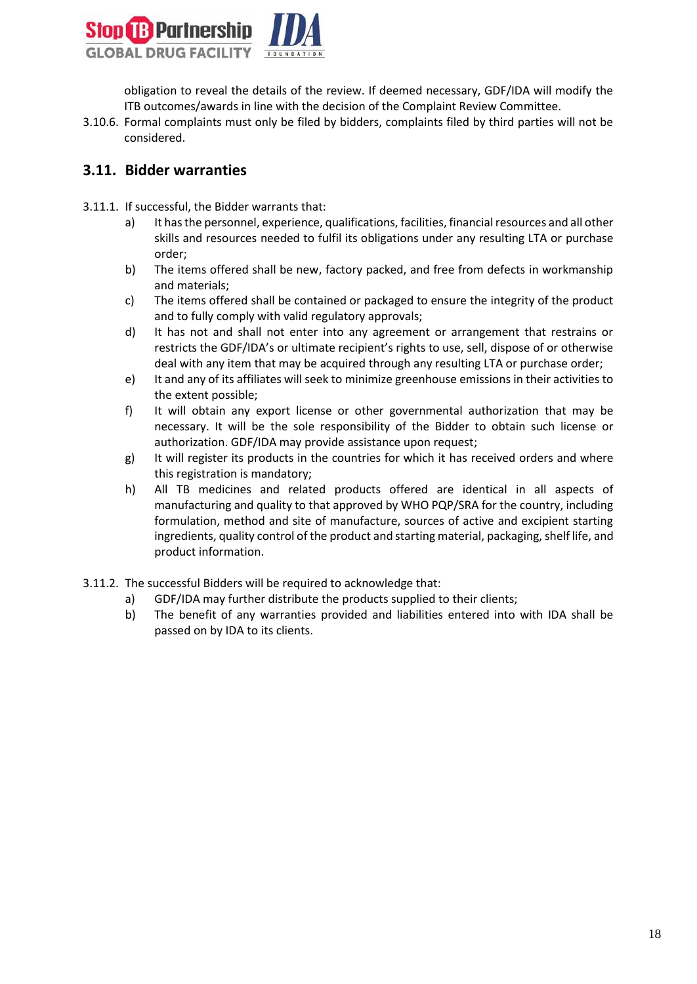

obligation to reveal the details of the review. If deemed necessary, GDF/IDA will modify the ITB outcomes/awards in line with the decision of the Complaint Review Committee.

3.10.6. Formal complaints must only be filed by bidders, complaints filed by third parties will not be considered.

#### <span id="page-17-0"></span>**3.11. Bidder warranties**

- 3.11.1. If successful, the Bidder warrants that:
	- a) It has the personnel, experience, qualifications, facilities, financial resources and all other skills and resources needed to fulfil its obligations under any resulting LTA or purchase order;
	- b) The items offered shall be new, factory packed, and free from defects in workmanship and materials;
	- c) The items offered shall be contained or packaged to ensure the integrity of the product and to fully comply with valid regulatory approvals;
	- d) It has not and shall not enter into any agreement or arrangement that restrains or restricts the GDF/IDA's or ultimate recipient's rights to use, sell, dispose of or otherwise deal with any item that may be acquired through any resulting LTA or purchase order;
	- e) It and any of its affiliates will seek to minimize greenhouse emissions in their activities to the extent possible;
	- f) It will obtain any export license or other governmental authorization that may be necessary. It will be the sole responsibility of the Bidder to obtain such license or authorization. GDF/IDA may provide assistance upon request;
	- g) It will register its products in the countries for which it has received orders and where this registration is mandatory;
	- h) All TB medicines and related products offered are identical in all aspects of manufacturing and quality to that approved by WHO PQP/SRA for the country, including formulation, method and site of manufacture, sources of active and excipient starting ingredients, quality control of the product and starting material, packaging, shelf life, and product information.
- 3.11.2. The successful Bidders will be required to acknowledge that:
	- a) GDF/IDA may further distribute the products supplied to their clients;
	- b) The benefit of any warranties provided and liabilities entered into with IDA shall be passed on by IDA to its clients.